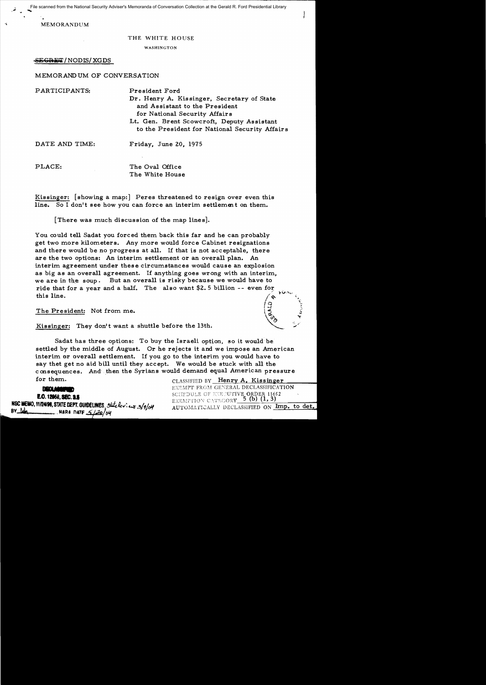File scanned from the National Security Adviser's Memoranda of Conversation Collection at the Gerald R. Ford Presidential Library

MEMORANDUM

## THE WHITE HOUSE

WASHINGTON

# SEGRET/NODIS/XGDS

# MEMORAND UM OF CONVERSATION

PARTICIPANTS: President Ford Dr. Henry A. Kis singer, Secretary of State and Assistant to the President for National Security Affairs Lt. Gen. Brent Scowcroft, Deputy Assistant to the President for National Security Affairs

DATE AND TIME: Friday, June 20, 1975

PLACE: The Oval Office The White House

Kissinger: [showing a map:] Peres threatened to resign over even this line. So I don't see how you can force an interim settlement on them.

[There was much discussion of the map lines].

You could tell Sadat you forced them back this far and he can probably get two more kilometers. Any more would force Cabinet resignations and there would be no progress at all. If that is not acceptable, there are the two options: An interim settlement or an overall plan. An interim agreement under these circumstances would cause an explosion as big as an overall agreement. If anything goes wrong with an interim, we are in the soup. But an overall is risky because we would have to ride that for a year and a half. The also want \$2.5 billion -- even for this line. this line.  $\left( \begin{array}{ccc} 0 & 0 & 0 \\ 0 & 0 & 0 \\ 0 & 0 & 0 \end{array} \right)$ 

The President: Not from me.

Kissinger: They don't want a shuttle before the 13th.

Sadat has three options: To buy the Israeli option, so it would be. settled by the middle of August. Or he rejects it and we impose an American interim or overall settlement. If you go to the interim you would have to say thet get no aid bill until they accept. We would be stuck with all the consequences. And then the Syrians would demand equal American pressure Frame Strategies and the Syrians would be stuck with all the masquences. And then the Syrians would demand equal American pressure<br> **PEQLASSIFIED** BY Henry A. Kissinger<br> **PEQLASSIFICATION** EXEMPT FROM GENERAL DECLASSIFICAT

**..• E.O. 12068, SEC. 2.5**<br> **E.O. 12068, SEC. 2.5**<br> **NSC MEMO, 11/24/98, STATE DEPT. GUIDELINES**, State berged state berged on the state of the state of the state of the state of the state of the state of the state of the stat

for them. CLASSIFIED BY Henry A. Kissinger<br>EXEMPT FROM GENERAL DECLASSIFICATION

 $\left( \begin{array}{ccc} \mathcal{Q} & \mathcal{Q} & \mathcal{Q} \end{array} \right)$ 

•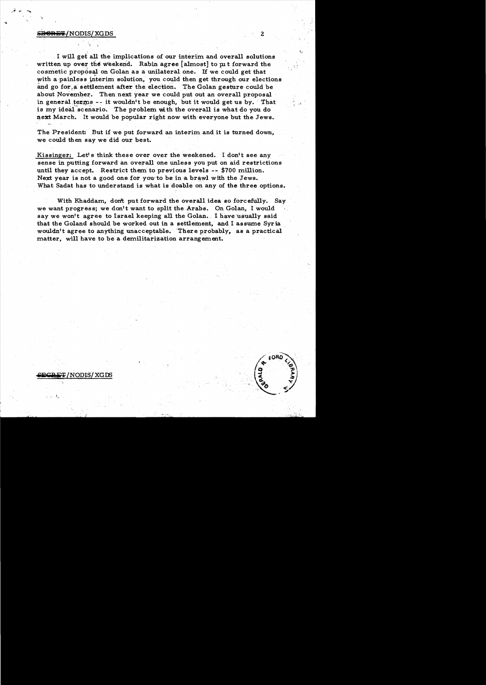## **GRET/NODIS/XGDS**

े प

. I will gef all. the implications of our interim and overall solutions written up over the weekend. Rabin agree [almost] to put forward the cosmetic prop6sal on Golan as a unilateral one. If we could get that with a painless interim solution, you could then get through our elections and go for a settlement after the election. The Golan gesture could be about November. Then next year we could put out an overall proposal in general terms -- it wouldn't be enough, but it would get us by. That is my ideal scenario. The problem with the overall is what do you do next March. It would be popular right now with everyone but the Jews.

The President: But if we put forward an interim and it is turned down, we could then say we did our best.

Kissinger: Let's think these over over the weekened. I don't see any sense in putting forward an overall one unless you put on aid restrictions until they accept. Restrict them to previous levels -- \$700 million. Next year is not a good one for you to be in a brawl with the Jews. What Sadat has to understand is what is doable on any of the three options.

With Khaddam, don't put forward the overall idea so forcefully. Say we want progress; we don't want to split the Arabs. On Golan, I would say we won't agree to Israel keeping all the Golan. I have usually said that the Goland should be worked out in a settlement, and I assume Syria, wouldn't agree to anything unacceptable. "There probably. as a practical matter, will have to be a demilitarization arrangement.



 $\texttt{CREF}/\text{NODIS}/\text{XGDS}$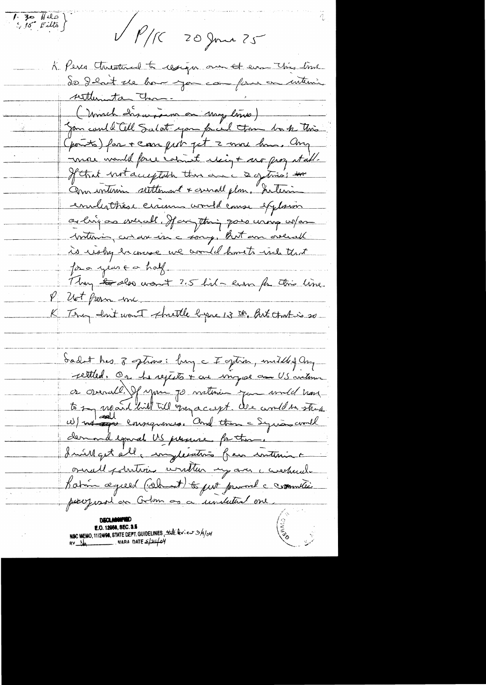$\left(\begin{array}{ccc} 1 & 30 & 1110 \\ 5 & 15 & 5110 \end{array}\right)$ V P/R 20 June 25 K. Peres Anistral to congress our of ever This lime de début ve hour jou compare une interni settlementa Chan-(Monch dasarpen en moy limo) Jan could Cell Salat you fried town book this. points) far + carr pet 7 avoir hours. Any more would force calmit elsigt mo prog stable If that not acceptable there are a getina; the annimin settlement & crisal plan, Silevin enalistrése exame avoir lause explosion as ling as weight. If anything goes using when britain, and are in a sorry, But an orderal is using incorre we would have to inclu that for a year for half. They to do nont ?5 lil - en fr this line.<br>Ut frem me PUt frem me K They don't want thattle byse 13 th, But that is so dadn't has 3 sphins: buy a I sphin, middled any rettled. On he rejects + are impose an US antour or overall. If you go within you unit have to say march hill till quy a caret. We would the struct demand equal US persuae for them. Invillaget alla implexation fair interiment ornall potritions unitten my arc consectande Katin ægreed (cellent) to put promote communic parogeral en Golm ou a unitatival ene **CONTROLLED STATE E.O. 12058, SEC. 3.5**<br>NSC MEMO, 11/24/98, STATE DEPT. GUIDELINES, *the levier 3/4/04*<br>NARA DATE  $\frac{2}{2}$